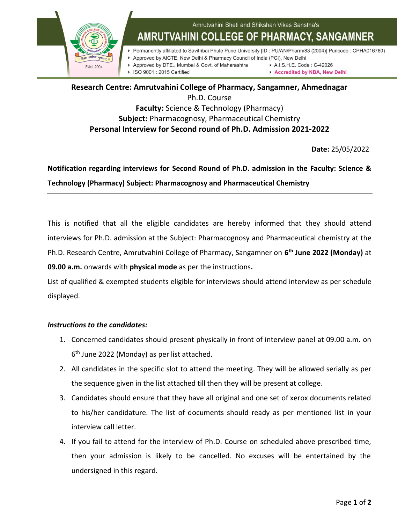

## **Research Centre: Amrutvahini College of Pharmacy, Sangamner, Ahmednagar** Ph.D. Course **Faculty:** Science & Technology (Pharmacy) **Subject:** Pharmacognosy, Pharmaceutical Chemistry **Personal Interview for Second round of Ph.D. Admission 2021-2022**

**Date:** 25/05/2022

## **Notification regarding interviews for Second Round of Ph.D. admission in the Faculty: Science & Technology (Pharmacy) Subject: Pharmacognosy and Pharmaceutical Chemistry**

This is notified that all the eligible candidates are hereby informed that they should attend interviews for Ph.D. admission at the Subject: Pharmacognosy and Pharmaceutical chemistry at the Ph.D. Research Centre, Amrutvahini College of Pharmacy, Sangamner on **6 th June 2022 (Monday)** at **09.00 a.m.** onwards with **physical mode** as per the instructions**.** 

List of qualified & exempted students eligible for interviews should attend interview as per schedule displayed.

## *Instructions to the candidates:*

- 1. Concerned candidates should present physically in front of interview panel at 09.00 a.m**.** on 6<sup>th</sup> June 2022 (Monday) as per list attached.
- 2. All candidates in the specific slot to attend the meeting. They will be allowed serially as per the sequence given in the list attached till then they will be present at college.
- 3. Candidates should ensure that they have all original and one set of xerox documents related to his/her candidature. The list of documents should ready as per mentioned list in your interview call letter.
- 4. If you fail to attend for the interview of Ph.D. Course on scheduled above prescribed time, then your admission is likely to be cancelled. No excuses will be entertained by the undersigned in this regard.